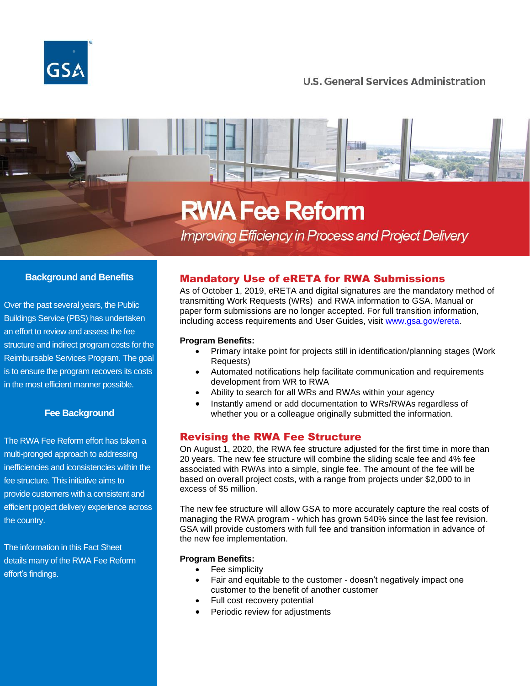

# **U.S. General Services Administration**

# **RWA Fee Reform**

**Improving Efficiency in Process and Project Delivery** 

# **Background and Benefits**

Over the past several years, the Public Buildings Service (PBS) has undertaken an effort to review and assess the fee structure and indirect program costs for the Reimbursable Services Program. The goal is to ensure the program recovers its costs in the most efficient manner possible.

### **Fee Background**

The RWA Fee Reform effort has taken a multi-pronged approach to addressing inefficiencies and iconsistencies within the fee structure. This initiative aims to provide customers with a consistent and efficient project delivery experience across the country.

The information in this Fact Sheet details many of the RWA Fee Reform effort's findings.

# Mandatory Use of eRETA for RWA Submissions

As of October 1, 2019, eRETA and digital signatures are the mandatory method of transmitting Work Requests (WRs) and RWA information to GSA. Manual or paper form submissions are no longer accepted. For full transition information, including access requirements and User Guides, visit [www.gsa.gov/ereta.](http://www.gsa.gov/ereta)

### **Program Benefits:**

- Primary intake point for projects still in identification/planning stages (Work Requests)
- Automated notifications help facilitate communication and requirements development from WR to RWA
- Ability to search for all WRs and RWAs within your agency
- Instantly amend or add documentation to WRs/RWAs regardless of whether you or a colleague originally submitted the information.

# Revising the RWA Fee Structure

On August 1, 2020, the RWA fee structure adjusted for the first time in more than 20 years. The new fee structure will combine the sliding scale fee and 4% fee associated with RWAs into a simple, single fee. The amount of the fee will be based on overall project costs, with a range from projects under \$2,000 to in excess of \$5 million.

The new fee structure will allow GSA to more accurately capture the real costs of managing the RWA program - which has grown 540% since the last fee revision. GSA will provide customers with full fee and transition information in advance of the new fee implementation.

### **Program Benefits:**

- Fee simplicity
- Fair and equitable to the customer doesn't negatively impact one customer to the benefit of another customer
- Full cost recovery potential
- Periodic review for adjustments